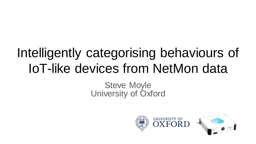# Intelligently categorising behaviours of IoT-like devices from NetMon data

#### Steve Moyle University of Oxford

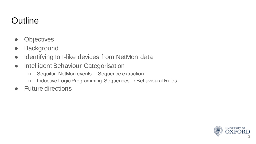# **Outline**

- Objectives
- Background
- Identifying IoT-like devices from NetMon data
- Intelligent Behaviour Categorisation
	- Sequitur: NetMon events →Sequence extraction
	- $\circ$  Inductive Logic Programming: Sequences  $\rightarrow$  Behavioural Rules
- Future directions

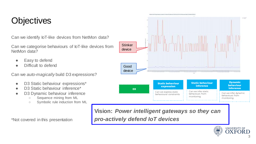# **Objectives**

Can we identify IoT-like devices from NetMon data?

Can we categorise behaviours of IoT-like devices from NetMon data?

- Easy to defend
- Difficult to defend

Can we *auto-magically* build D3 expressions?

- D3 Static behaviour expressions\*
- D3 Static behaviour inference\*
- D3 Dynamic behaviour inference
	- Sequence mining from ML
	- Symbolic rule induction from ML

\*Not covered in this presentation

**Vision:** *Power intelligent gateways so they can pro-actively defend IoT devices*

Can we express static behavioural constraints

**D3**

Can we infer dynamic behaviours from monitoring

**UNIVERSITY OF** 



Can we infer static behaviours from monitoring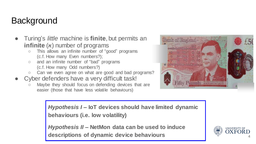# **Background**

- Turing's *little* machine is **finite**, but permits an **infinite** (א) number of programs
	- This allows an infinite number of "good" programs (c.f. How many Even numbers?);
	- and an infinite number of "bad" programs (c.f. How many Odd numbers?)
	- Can we even agree on what are good and bad programs?
- Cyber defenders have a very difficult task!
	- Maybe they should focus on defending devices that are easier (those that have less volatile behaviours)



*Hypothesis I* **– IoT devices should have limited dynamic behaviours (i.e. low volatility)**

*Hypothesis II* **– NetMon data can be used to induce descriptions of dynamic device behaviours** <sup>4</sup>

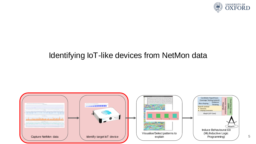

#### Identifying IoT-like devices from NetMon data

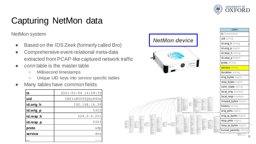

conn

# Capturing NetMon data

NetMon system

- Based on the IDS Zeek (formerly called Bro)
- Comprehensive event-relational meta-data extracted from PCAP-like captured network traffic
- *conn* table is the master table
	- Millisecond timestamps
	- Unique UID keys into *service* specific tables

#### Many tables have common fields

| ts        | 2021-01-04 14:59:39 |  |  |  |
|-----------|---------------------|--|--|--|
| uid       | CNfInROV9fO6nP4Ve   |  |  |  |
| id.orig_h | 192.168.16.39       |  |  |  |
| id.orig_p | 5353                |  |  |  |
| id.resp_h | 224.0.0.251         |  |  |  |
| id.resp_p | 5353                |  |  |  |
| proto     | udp                 |  |  |  |
| service   | dns                 |  |  |  |
|           |                     |  |  |  |

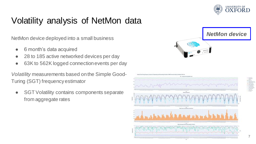

# Volatility analysis of NetMon data

NetMon device deployed into a small business

- 6 month's data acquired
- 28 to 185 active networked devices per day
- 63K to 562K logged connection events per day

*Volatility* measurements based on the Simple Good-Turing (SGT) frequency estimator

**SGT Volatility contains components separate** from aggregate rates

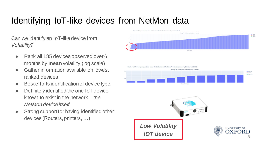## Identifying IoT-like devices from NetMon data

Can we identify an IoT-like device from *Volatility?*

- Rank all 185 devices observed over 6 months by **mean** volatility (log scale)
- Gather information available on lowest ranked devices
- Best efforts identification of device type
- Definitely identified the one IoT device known to exist in the network – *the NetMon device itself*
- Strong support for having identified other devices (Routers, printers, …)



sale Good-Turing frequency analysis ... mean of individual internal IP address P6 extimates structural by Schalac3 for 3671.46



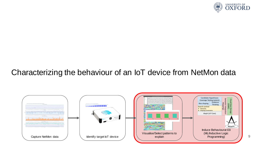

#### Characterizing the behaviour of an IoT device from NetMon data

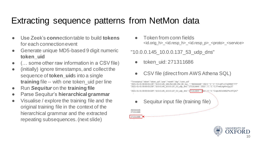### Extracting sequence patterns from NetMon data

- Use Zeek's **conn**ection table to build **tokens** for each connection event
- Generate unique MD5-based 9 digit numeric **token\_uid**
- $($ ... some other raw information in a CSV file)
- (initially) ignore timestamps, and collect the sequence of **token\_uid**s into a single **training** file -- with one token uid per line
- Run *Sequitur* on the **training file**
- Parse Sequitur's **hierarchical grammar**
- Visualise / explore the training file and the original training file in the context of the hierarchical grammar and the extracted repeating subsequences. (next slide)

Token from conn fields <id.orig\_h>\_<id.resp\_h>\_<id.resp\_p>\_<proto>\_<service>

#### "10.0.0.145\_10.0.0.137\_53\_udp\_dns"

- token\_uid: 271311686
- CSV file (direct from AWS Athena SQL)



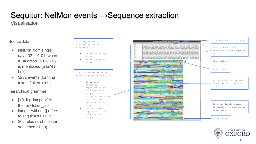# Sequitur: NetMon events →Sequence extraction

Visualisation

#### Source data

- NetMon from single day 2021-01-01; where IP address 10.0.0.145 is mentioned (a brAInbox)
- 3232 events (forming tokens/token\_uids)

#### Hierarchical grammar

- [<9 digit integer>] is the raw token uid
- Integer without [] refers to sequitur's rule id
- 366 rules (and the start sequence rule 0)



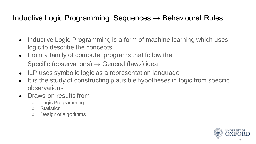#### Inductive Logic Programming: Sequences  $\rightarrow$  Behavioural Rules

- Inductive Logic Programming is a form of machine learning which uses logic to describe the concepts
- From a family of computer programs that follow the Specific (observations)  $\rightarrow$  General (laws) idea
- ILP uses symbolic logic as a representation language
- It is the study of constructing plausible hypotheses in logic from specific observations
- Draws on results from
	- Logic Programming
	- Statistics
	- Design of algorithms

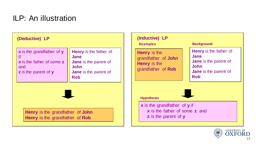#### ILP: An illustration

| (Deductive) LP                                                                                   |                                                                                                                                    | (Inductive) LP<br><b>Examples</b>                                                                                   | <b>Background</b>                                                                                                                  |
|--------------------------------------------------------------------------------------------------|------------------------------------------------------------------------------------------------------------------------------------|---------------------------------------------------------------------------------------------------------------------|------------------------------------------------------------------------------------------------------------------------------------|
| $x$ is the grandfather of $y$<br>if.<br>x is the father of some z<br>and<br>z is the parent of y | <b>Henry</b> is the father of<br><b>Jane</b><br>Jane is the parent of<br><b>John</b><br><b>Jane</b> is the parent of<br><b>Rob</b> | <b>Henry</b> is the<br>grandfather of <b>John</b><br><b>Henry</b> is the<br>grandfather of Rob<br><b>Hypothesis</b> | <b>Henry</b> is the father of<br>Jane<br><b>Jane</b> is the parent of<br><b>John</b><br><b>Jane</b> is the parent of<br><b>Rob</b> |
| <b>Henry</b> is the grandfather of <b>John</b><br><b>Henry</b> is the grandfather of <b>Rob</b>  |                                                                                                                                    | x is the grandfather of y if<br>x is the father of some z and<br>z is the parent of y                               |                                                                                                                                    |

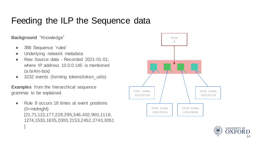# Feeding the ILP the Sequence data

**Background** "Knowledge"

- 366 Sequence 'rules'
- Underlying network metadata
- Raw Source data Recorded 2021-01-01; where IP address 10.0.0.145 is mentioned (a brAIn-box)
- 3232 events (forming tokens/token\_uids)

**Examples** from the hierarchical sequence grammar to be explained

Rule 8 occurs 18 times at event positions (0=midnight) [21,71,122,177,228,295,346,402,960,1118, 1274,1533,1835,2000,2153,2452,2743,3051 ]



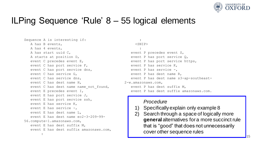

#### ILPing Sequence 'Rule' 8 – 55 logical elements

```
Sequence A is interesting if:
  A has B events,
  A has 4 events,
  A has start uuid C,
  A starts at position D,
  event C precedes event E,
  event C has port service F,
  event C has port service dns,
   event C has service G,
  event C has service dns,
  event C has dest name H,
   event C has dest name name not found,
  event E precedes event I,
   event E has port service J,
  event E has port service ssh,
  event E has service K,
  event E has service -,
   event E has dest name L,
   event E has dest name ec2-3-209-99-
56.compute-1.amazonaws.com,
   event E has dest suffix M,
   event E has dest suffix amazonaws.com,
        :
                                                       :
                                                       :
```

```
<SNIP>event P precedes event S,
   event P has port service Q,
   event P has port service https,
   event P has service K,
   event P has service -,
   event P has dest name R,
   event P has dest name s3-ap-southeast-
2-w.amazonaws.com,
   event P has dest suffix M,
   event P has dest suffix amazonaws.com.
```
#### *Procedure*

- Specifically explain only example 8
- 2) Search through a space of logically more **general** alternatives for a more succinct rule that is "good" that does not unnecessarily cover other sequence rules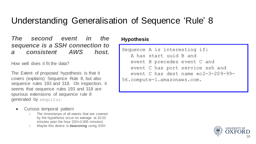### Understanding Generalisation of Sequence 'Rule' 8

*The second event in the sequence is a SSH connection to a consistent AWS host.*

How well does it fit the data?

The Extent of proposed hypothesis is that it covers (explains) Sequence Rule 8, but also sequence rules 193 and 318. On inspection, it seems that sequence rules 193 and 318 are spurious extensions of sequence rule 8 generated by sequitur.

- Curious temporal pattern
	- The timestamps of all events that are covered by the hypothesis occur on average at 10.02 minutes past the hour (SD=0.005 minutes)
	- Maybe this device is *beaconing* using SSH

**Hypothesis**

```
Sequence A is interesting if:
  A has start uuid B and
  event B precedes event C and
  event C has port service ssh and
  event C has dest name ec2-3-209-99-
56.compute-1.amazonaws.com.
```
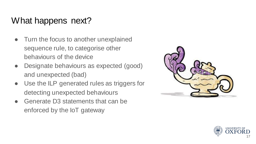# What happens next?

- Turn the focus to another unexplained sequence rule, to categorise other behaviours of the device
- Designate behaviours as expected (good) and unexpected (bad)
- Use the ILP generated rules as triggers for detecting unexpected behaviours
- Generate D3 statements that can be enforced by the IoT gateway



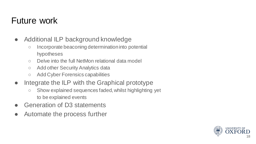### Future work

- Additional ILP background knowledge
	- Incorporate beaconing determination into potential hypotheses
	- Delve into the full NetMon relational data model
	- Add other Security Analytics data
	- Add Cyber Forensics capabilities
- Integrate the ILP with the Graphical prototype
	- Show explained sequences faded, whilst highlighting yet to be explained events
- Generation of D3 statements
- Automate the process further